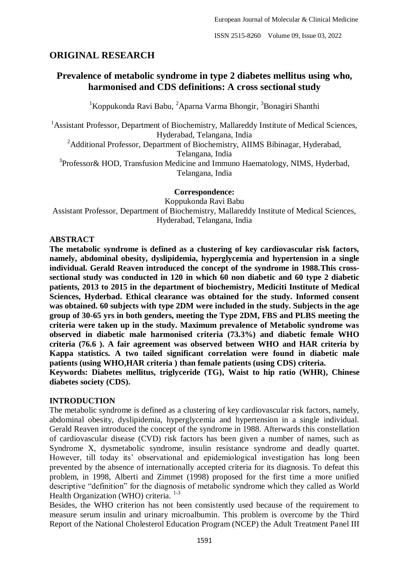# **ORIGINAL RESEARCH**

# **Prevalence of metabolic syndrome in type 2 diabetes mellitus using who, harmonised and CDS definitions: A cross sectional study**

<sup>1</sup>Koppukonda Ravi Babu, <sup>2</sup>Aparna Varma Bhongir, <sup>3</sup>Bonagiri Shanthi

<sup>1</sup> Assistant Professor, Department of Biochemistry, Mallareddy Institute of Medical Sciences, Hyderabad, Telangana, India

<sup>2</sup>Additional Professor, Department of Biochemistry, AIIMS Bibinagar, Hyderabad,

Telangana, India

<sup>3</sup>Professor& HOD, Transfusion Medicine and Immuno Haematology, NIMS, Hyderbad, Telangana, India

**Correspondence:**

Koppukonda Ravi Babu

Assistant Professor, Department of Biochemistry, Mallareddy Institute of Medical Sciences, Hyderabad, Telangana, India

### **ABSTRACT**

**The metabolic syndrome is defined as a clustering of key cardiovascular risk factors, namely, abdominal obesity, dyslipidemia, hyperglycemia and hypertension in a single individual. Gerald Reaven introduced the concept of the syndrome in 1988.This crosssectional study was conducted in 120 in which 60 non diabetic and 60 type 2 diabetic patients, 2013 to 2015 in the department of biochemistry, Mediciti Institute of Medical Sciences, Hyderbad. Ethical clearance was obtained for the study. Informed consent was obtained. 60 subjects with type 2DM were included in the study. Subjects in the age group of 30-65 yrs in both genders, meeting the Type 2DM, FBS and PLBS meeting the criteria were taken up in the study. Maximum prevalence of Metabolic syndrome was observed in diabetic male harmonised criteria (73.3%) and diabetic female WHO criteria (76.6 ). A fair agreement was observed between WHO and HAR criteria by Kappa statistics. A two tailed significant correlation were found in diabetic male patients (using WHO,HAR criteria ) than female patients (using CDS) criteria.**

**Keywords: Diabetes mellitus, triglyceride (TG), Waist to hip ratio (WHR), Chinese diabetes society (CDS).**

### **INTRODUCTION**

The metabolic syndrome is defined as a clustering of key cardiovascular risk factors, namely, abdominal obesity, dyslipidemia, hyperglycemia and hypertension in a single individual. Gerald Reaven introduced the concept of the syndrome in 1988. Afterwards this constellation of cardiovascular disease (CVD) risk factors has been given a number of names, such as Syndrome X, dysmetabolic syndrome, insulin resistance syndrome and deadly quartet. However, till today its' observational and epidemiological investigation has long been prevented by the absence of internationally accepted criteria for its diagnosis. To defeat this problem, in 1998, Alberti and Zimmet (1998) proposed for the first time a more unified descriptive "definition" for the diagnosis of metabolic syndrome which they called as World Health Organization (WHO) criteria. <sup>1-3</sup>

Besides, the WHO criterion has not been consistently used because of the requirement to measure serum insulin and urinary microalbumin. This problem is overcome by the Third Report of the National Cholesterol Education Program (NCEP) the Adult Treatment Panel III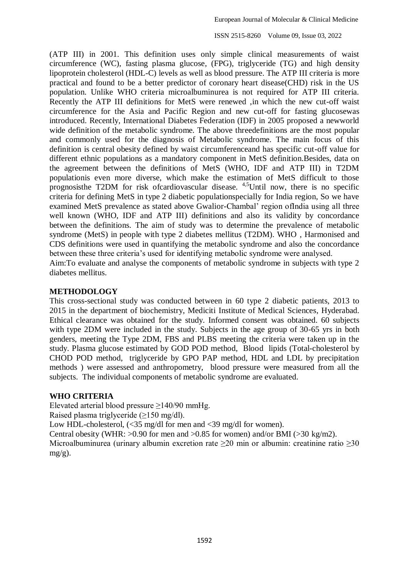(ATP III) in 2001. This definition uses only simple clinical measurements of waist circumference (WC), fasting plasma glucose, (FPG), triglyceride (TG) and high density lipoprotein cholesterol (HDL-C) levels as well as blood pressure. The ATP III criteria is more practical and found to be a better predictor of coronary heart disease(CHD) risk in the US population. Unlike WHO criteria microalbuminurea is not required for ATP III criteria. Recently the ATP III definitions for MetS were renewed ,in which the new cut-off waist circumference for the Asia and Pacific Region and new cut-off for fasting glucosewas introduced. Recently, International Diabetes Federation (IDF) in 2005 proposed a newworld wide definition of the metabolic syndrome. The above threedefinitions are the most popular and commonly used for the diagnosis of Metabolic syndrome. The main focus of this definition is central obesity defined by waist circumferenceand has specific cut-off value for different ethnic populations as a mandatory component in MetS definition.Besides, data on the agreement between the definitions of MetS (WHO, IDF and ATP III) in T2DM populationis even more diverse, which make the estimation of MetS difficult to those prognosisthe T2DM for risk ofcardiovascular disease. 4,5Until now, there is no specific criteria for defining MetS in type 2 diabetic populationspecially for India region, So we have examined MetS prevalence as stated above Gwalior-Chambal' region ofIndia using all three well known (WHO, IDF and ATP III) definitions and also its validity by concordance between the definitions. The aim of study was to determine the prevalence of metabolic syndrome (MetS) in people with type 2 diabetes mellitus (T2DM). WHO , Harmonised and CDS definitions were used in quantifying the metabolic syndrome and also the concordance between these three criteria's used for identifying metabolic syndrome were analysed. Aim:To evaluate and analyse the components of metabolic syndrome in subjects with type 2 diabetes mellitus.

#### **METHODOLOGY**

This cross-sectional study was conducted between in 60 type 2 diabetic patients, 2013 to 2015 in the department of biochemistry, Mediciti Institute of Medical Sciences, Hyderabad. Ethical clearance was obtained for the study. Informed consent was obtained. 60 subjects with type 2DM were included in the study. Subjects in the age group of 30-65 yrs in both genders, meeting the Type 2DM, FBS and PLBS meeting the criteria were taken up in the study. Plasma glucose estimated by GOD POD method, Blood lipids (Total-cholesterol by CHOD POD method, triglyceride by GPO PAP method, HDL and LDL by precipitation methods ) were assessed and anthropometry, blood pressure were measured from all the subjects. The individual components of metabolic syndrome are evaluated.

#### **WHO CRITERIA**

Elevated arterial blood pressure ≥140/90 mmHg.

Raised plasma triglyceride  $(\geq 150 \text{ mg/dl})$ .

Low HDL-cholesterol,  $\langle$ <35 mg/dl for men and <39 mg/dl for women).

Central obesity (WHR:  $>0.90$  for men and  $>0.85$  for women) and/or BMI ( $>30$  kg/m2).

Microalbuminurea (urinary albumin excretion rate ≥20 min or albumin: creatinine ratio ≥30  $mg/g$ ).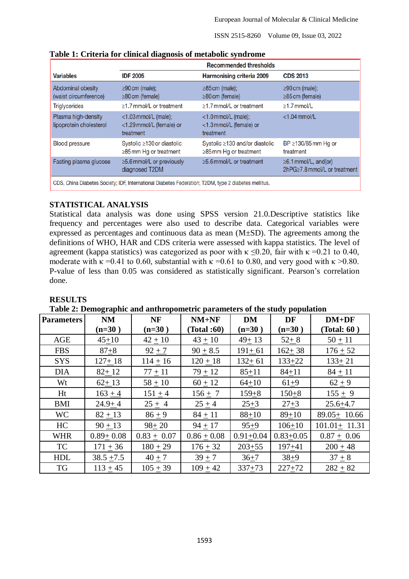|                                                                                                      | <b>Recommended thresholds</b>                                    |                                                                |                                                            |  |  |  |
|------------------------------------------------------------------------------------------------------|------------------------------------------------------------------|----------------------------------------------------------------|------------------------------------------------------------|--|--|--|
| <b>Variables</b>                                                                                     | <b>IDF 2005</b>                                                  | Harmonising criteria 2009                                      | <b>CDS 2013</b>                                            |  |  |  |
| Abdominal obesity<br>(waist circumference)                                                           | $\geq$ 90 cm (male);<br>$\geq$ 80 cm (female)                    | $\geq$ 85 cm (male);<br>$\geq$ 80 cm (female)                  | $\geq$ 90 cm (male);<br>$\geq$ 85 cm (female)              |  |  |  |
| <b>Triglycerides</b>                                                                                 | $\geq$ 1.7 mmol/L or treatment                                   | $\geq$ 1.7 mmol/L or treatment                                 | $>1.7$ mmol/L                                              |  |  |  |
| Plasma high-density<br>lipoprotein cholesterol                                                       | $<$ 1.03 mmol/L (male);<br><1.29 mmol/L (female) or<br>treatment | $<$ 1.0 mmol/L (male);<br><1.3 mmol/L (female) or<br>treatment | $<$ 1.04 mmol/L                                            |  |  |  |
| <b>Blood pressure</b>                                                                                | Systolic ≥130 or diastolic<br>$\geq$ 85 mm Hg or treatment       | Systolic ≥130 and/or diastolic<br>$\geq$ 85 mm Hg or treatment | BP $\geq$ 130/85 mm Hg or<br>treatment                     |  |  |  |
| Fasting plasma glucose                                                                               | ≥5.6 mmol/L or previously<br>diagnosed T2DM                      | $>5.6$ mmol/L or treatment                                     | $\geq 6.1$ mmol/L, and(or)<br>2hPG>7.8 mmol/L or treatment |  |  |  |
| CDS, China Diabetes Society; IDF, International Diabetes Federation; T2DM, type 2 diabetes mellitus. |                                                                  |                                                                |                                                            |  |  |  |

**Table 1: Criteria for clinical diagnosis of metabolic syndrome**

## **STATISTICAL ANALYSIS**

Statistical data analysis was done using SPSS version 21.0.Descriptive statistics like frequency and percentages were also used to describe data. Categorical variables were expressed as percentages and continuous data as mean (M±SD). The agreements among the definitions of WHO, HAR and CDS criteria were assessed with kappa statistics. The level of agreement (kappa statistics) was categorized as poor with  $\kappa \le 0.20$ , fair with  $\kappa = 0.21$  to 0.40, moderate with  $\kappa = 0.41$  to 0.60, substantial with  $\kappa = 0.61$  to 0.80, and very good with  $\kappa > 0.80$ . P-value of less than 0.05 was considered as statistically significant. Pearson's correlation done.

### **RESULTS**

**Table 2: Demographic and anthropometric parameters of the study population**

| <b>Parameters</b> | <b>NM</b>       | <b>NF</b>       | $NM+NF$         | <b>DM</b>     | DF            | $DM+DF$            |
|-------------------|-----------------|-----------------|-----------------|---------------|---------------|--------------------|
|                   | $(n=30)$        | $(n=30)$        | (Total :60)     | $(n=30)$      | $(n=30)$      | (Total: 60)        |
| <b>AGE</b>        | $45+10$         | $42 \pm 10$     | $43 \pm 10$     | $49 + 13$     | $52 + 8$      | $50 + 11$          |
| <b>FBS</b>        | $87 + 8$        | $92 + 7$        | $90 \pm 8.5$    | $191 + 61$    | $162 + 38$    | $176 \pm 52$       |
| <b>SYS</b>        | $127 + 18$      | $114 \pm 16$    | $120 + 18$      | $132 + 61$    | $133 + 22$    | $133 + 21$         |
| <b>DIA</b>        | $82 + 12$       | $77 + 11$       | $79 + 12$       | $85 + 11$     | $84 + 11$     | $84 \pm 11$        |
| Wt                | $62 + 13$       | $58 + 10$       | $60 \pm 12$     | $64 + 10$     | $61+9$        | $62 + 9$           |
| Ht                | $163 + 4$       | $151 + 4$       | $156 + 7$       | $159 + 8$     | $150 + 8$     | $155 + 9$          |
| <b>BMI</b>        | $24.9 + 4$      | $25 \pm 4$      | $25 + 4$        | $25 + 3$      | $27 + 3$      | $25.6 + 4.7$       |
| <b>WC</b>         | $82 + 13$       | $86 + 9$        | $84 \pm 11$     | $88+10$       | $89+10$       | $89.05 + 10.66$    |
| HC                | $90 + 13$       | $98 + 20$       | $94 \pm 17$     | $95+9$        | $106 \pm 10$  | $101.01 \pm 11.31$ |
| <b>WHR</b>        | $0.89 \pm 0.08$ | $0.83 \pm 0.07$ | $0.86 \pm 0.08$ | $0.91 + 0.04$ | $0.83 + 0.05$ | $0.87 \pm 0.06$    |
| <b>TC</b>         | $171 + 36$      | $180 + 29$      | $176 + 32$      | $203 + 55$    | $197 + 41$    | $200 + 48$         |
| <b>HDL</b>        | $38.5 + 7.5$    | $40 \pm 7$      | $39 + 7$        | $36 + 7$      | $38 + 9$      | $37 + 8$           |
| <b>TG</b>         | $113 + 45$      | $105 + 39$      | $109 + 42$      | $337 + 73$    | $227 + 72$    | $282 + 82$         |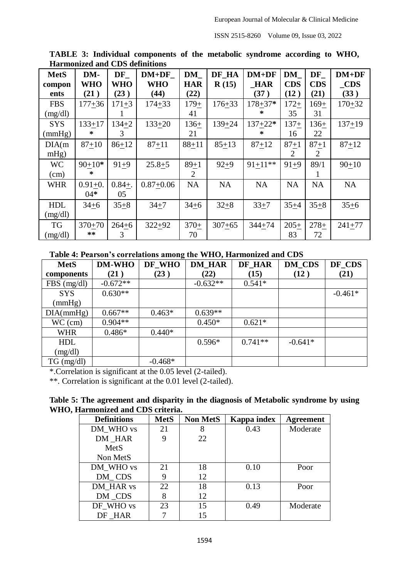| <b>MetS</b> | DM-         | DF         | $DM+DF$       | <b>DM</b>  | DF HA      | $DM+DF$     | <b>DM</b>  | DF         | $DM+DF$    |
|-------------|-------------|------------|---------------|------------|------------|-------------|------------|------------|------------|
| compon      | <b>WHO</b>  | <b>WHO</b> | <b>WHO</b>    | <b>HAR</b> | R(15)      | <b>HAR</b>  | <b>CDS</b> | <b>CDS</b> | <b>CDS</b> |
| ents        | (21)        | (23)       | (44)          | (22)       |            | (37)        | (12)       | (21)       | (33)       |
| <b>FBS</b>  | $177 + 36$  | $171 + 3$  | $174 + 33$    | $179 +$    | $176 + 33$ | $178 + 37*$ | $172+$     | $169+$     | $170 + 32$ |
| (mg/dl)     |             |            |               | 41         |            | $\ast$      | 35         | 31         |            |
| <b>SYS</b>  | $133 + 17$  | $134 + 2$  | $133 + 20$    | $136+$     | $139 + 24$ | $137+22*$   | $137+$     | $136+$     | $137 + 19$ |
| (mmHg)      | ∗           | 3          |               | 21         |            | ∗           | 16         | 22         |            |
| DIA(m)      | $87 + 10$   | $86 + 12$  | $87 + 11$     | $88 + 11$  | $85 + 13$  | $87 + 12$   | $87 + 1$   | $87 + 1$   | $87 + 12$  |
| $mHg$ )     |             |            |               |            |            |             | 2          | 2          |            |
| <b>WC</b>   | $90+10*$    | $91 + 9$   | $25.8 + 5$    | $89+1$     | $92 + 9$   | $91+11**$   | $91 + 9$   | 89/1       | $90 + 10$  |
| (cm)        | ∗           |            |               | 2          |            |             |            |            |            |
| <b>WHR</b>  | $0.91 + 0.$ | $0.84 +$ . | $0.87 + 0.06$ | <b>NA</b>  | <b>NA</b>  | <b>NA</b>   | <b>NA</b>  | NA         | NA         |
|             | $04*$       | 05         |               |            |            |             |            |            |            |
| <b>HDL</b>  | $34 + 6$    | $35 + 8$   | $34 + 7$      | $34 + 6$   | $32 + 8$   | $33 + 7$    | $35 + 4$   | $35 + 8$   | $35 + 6$   |
| (mg/dl)     |             |            |               |            |            |             |            |            |            |
| <b>TG</b>   | $370 + 70$  | $264 + 6$  | $322 + 92$    | $370+$     | $307 + 65$ | $344 + 74$  | $205+$     | $278+$     | $241 + 77$ |
| (mg/dl)     | **          | 3          |               | 70         |            |             | 83         | 72         |            |

**TABLE 3: Individual components of the metabolic syndrome according to WHO, Harmonized and CDS definitions**

**Table 4: Pearson's correlations among the WHO, Harmonized and CDS** 

| <b>MetS</b>     | <b>DM-WHO</b> | DF_WHO    | <b>DM_HAR</b> | <b>DF_HAR</b> | <b>DM_CDS</b> | DF_CDS    |
|-----------------|---------------|-----------|---------------|---------------|---------------|-----------|
| components      | (21)          | (23)      | (22)          | (15)          | (12)          | (21)      |
| $FBS$ (mg/dl)   | $-0.672**$    |           | $-0.632**$    | $0.541*$      |               |           |
| <b>SYS</b>      | $0.630**$     |           |               |               |               | $-0.461*$ |
| (mmHg)          |               |           |               |               |               |           |
| DIA(mmHg)       | $0.667**$     | $0.463*$  | $0.639**$     |               |               |           |
| $WC$ (cm)       | $0.904**$     |           | $0.450*$      | $0.621*$      |               |           |
| <b>WHR</b>      | $0.486*$      | $0.440*$  |               |               |               |           |
| <b>HDL</b>      |               |           | $0.596*$      | $0.741**$     | $-0.641*$     |           |
| (mg/dl)         |               |           |               |               |               |           |
| $TG \, (mg/dl)$ |               | $-0.468*$ |               |               |               |           |

\*.Correlation is significant at the 0.05 level (2-tailed).

\*\*. Correlation is significant at the 0.01 level (2-tailed).

### **Table 5: The agreement and disparity in the diagnosis of Metabolic syndrome by using WHO, Harmonized and CDS criteria.**

| <b>Definitions</b> | <b>MetS</b> | <b>Non MetS</b> | Kappa index | <b>Agreement</b> |
|--------------------|-------------|-----------------|-------------|------------------|
| DM WHO vs          | 21          |                 | 0.43        | Moderate         |
| DM HAR             | 9           | 22              |             |                  |
| <b>MetS</b>        |             |                 |             |                  |
| Non MetS           |             |                 |             |                  |
| DM WHO vs          | 21          | 18              | 0.10        | Poor             |
| DM CDS             | 9           | 12              |             |                  |
| DM HAR vs          | 22          | 18              | 0.13        | Poor             |
| DM CDS             | 8           | 12              |             |                  |
| DF WHO vs          | 23          | 15              | 0.49        | Moderate         |
| DF HAR             |             | 15              |             |                  |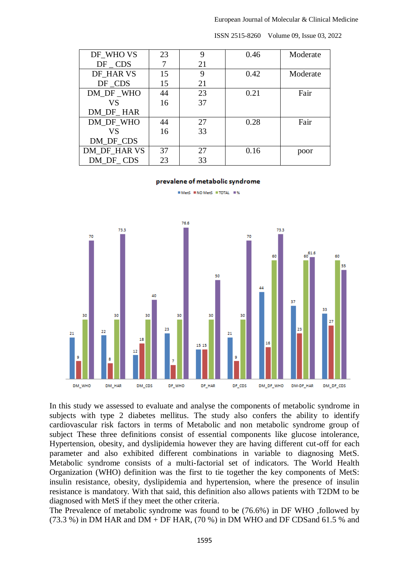| DF WHO VS    | 23 | 9  | 0.46 | Moderate |
|--------------|----|----|------|----------|
|              |    |    |      |          |
| $DF$ $CDS$   |    | 21 |      |          |
| DF HAR VS    | 15 | 9  | 0.42 | Moderate |
| DF CDS       | 15 | 21 |      |          |
| DM DF WHO    | 44 | 23 | 0.21 | Fair     |
| VS           | 16 | 37 |      |          |
| DM DF HAR    |    |    |      |          |
| DM_DF_WHO    | 44 | 27 | 0.28 | Fair     |
| VS           | 16 | 33 |      |          |
| DM DF CDS    |    |    |      |          |
| DM DF HAR VS | 37 | 27 | 0.16 | poor     |
| DM DF CDS    | 23 | 33 |      |          |

#### prevalene of metabolic syndrome

MetS MNO MetS MTOTAL M%



In this study we assessed to evaluate and analyse the components of metabolic syndrome in subjects with type 2 diabetes mellitus. The study also confers the ability to identify cardiovascular risk factors in terms of Metabolic and non metabolic syndrome group of subject These three definitions consist of essential components like glucose intolerance, Hypertension, obesity, and dyslipidemia however they are having different cut-off for each parameter and also exhibited different combinations in variable to diagnosing MetS. Metabolic syndrome consists of a multi-factorial set of indicators. The World Health Organization (WHO) definition was the first to tie together the key components of MetS: insulin resistance, obesity, dyslipidemia and hypertension, where the presence of insulin resistance is mandatory. With that said, this definition also allows patients with T2DM to be diagnosed with MetS if they meet the other criteria.

The Prevalence of metabolic syndrome was found to be (76.6%) in DF WHO ,followed by (73.3 %) in DM HAR and DM + DF HAR, (70 %) in DM WHO and DF CDS and 61.5 % and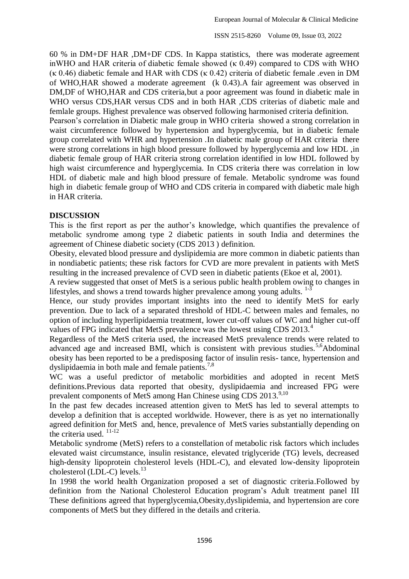60 % in DM+DF HAR ,DM+DF CDS. In Kappa statistics, there was moderate agreement inWHO and HAR criteria of diabetic female showed (κ 0.49) compared to CDS with WHO (κ 0.46) diabetic female and HAR with CDS (κ 0.42) criteria of diabetic female .even in DM of WHO,HAR showed a moderate agreement (k 0.43).A fair agreement was observed in DM,DF of WHO,HAR and CDS criteria,but a poor agreement was found in diabetic male in WHO versus CDS, HAR versus CDS and in both HAR , CDS criterias of diabetic male and femlale groups. Highest prevalence was observed following harmonised criteria definition.

Pearson's correlation in Diabetic male group in WHO criteria showed a strong correlation in waist circumference followed by hypertension and hyperglycemia, but in diabetic female group correlated with WHR and hypertension .In diabetic male group of HAR criteria there were strong correlations in high blood pressure followed by hyperglycemia and low HDL ,in diabetic female group of HAR criteria strong correlation identified in low HDL followed by high waist circumference and hyperglycemia. In CDS criteria there was correlation in low HDL of diabetic male and high blood pressure of female. Metabolic syndrome was found high in diabetic female group of WHO and CDS criteria in compared with diabetic male high in HAR criteria.

## **DISCUSSION**

This is the first report as per the author's knowledge, which quantifies the prevalence of metabolic syndrome among type 2 diabetic patients in south India and determines the agreement of Chinese diabetic society (CDS 2013 ) definition.

Obesity, elevated blood pressure and dyslipidemia are more common in diabetic patients than in nondiabetic patients; these risk factors for CVD are more prevalent in patients with MetS resulting in the increased prevalence of CVD seen in diabetic patients (Ekoe et al, 2001).

A review suggested that onset of MetS is a serious public health problem owing to changes in lifestyles, and shows a trend towards higher prevalence among young adults.  $1\frac{3}{2}$ 

Hence, our study provides important insights into the need to identify MetS for early prevention. Due to lack of a separated threshold of HDL-C between males and females, no option of including hyperlipidaemia treatment, lower cut-off values of WC and higher cut-off values of FPG indicated that MetS prevalence was the lowest using CDS 2013.<sup>4</sup>

Regardless of the MetS criteria used, the increased MetS prevalence trends were related to advanced age and increased BMI, which is consistent with previous studies.<sup>5,6</sup>Abdominal obesity has been reported to be a predisposing factor of insulin resis- tance, hypertension and dyslipidaemia in both male and female patients. $7,8$ 

WC was a useful predictor of metabolic morbidities and adopted in recent MetS definitions.Previous data reported that obesity, dyslipidaemia and increased FPG were prevalent components of MetS among Han Chinese using CDS 2013.<sup>9,10</sup>

In the past few decades increased attention given to MetS has led to several attempts to develop a definition that is accepted worldwide. However, there is as yet no internationally agreed definition for MetS and, hence, prevalence of MetS varies substantially depending on the criteria used. 11-12

Metabolic syndrome (MetS) refers to a constellation of metabolic risk factors which includes elevated waist circumstance, insulin resistance, elevated triglyceride (TG) levels, decreased high-density lipoprotein cholesterol levels (HDL-C), and elevated low-density lipoprotein cholesterol (LDL-C) levels.<sup>13</sup>

In 1998 the world health Organization proposed a set of diagnostic criteria.Followed by definition from the National Cholesterol Education program's Adult treatment panel III These definitions agreed that hyperglycemia,Obesity,dyslipidemia, and hypertension are core components of MetS but they differed in the details and criteria.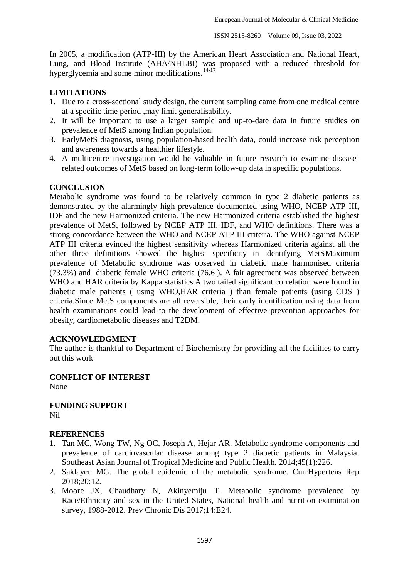In 2005, a modification (ATP-III) by the American Heart Association and National Heart, Lung, and Blood Institute (AHA/NHLBI) was proposed with a reduced threshold for hyperglycemia and some minor modifications. $14-17$ 

## **LIMITATIONS**

- 1. Due to a cross-sectional study design, the current sampling came from one medical centre at a specific time period ,may limit generalisability.
- 2. It will be important to use a larger sample and up-to-date data in future studies on prevalence of MetS among Indian population.
- 3. EarlyMetS diagnosis, using population-based health data, could increase risk perception and awareness towards a healthier lifestyle.
- 4. A multicentre investigation would be valuable in future research to examine diseaserelated outcomes of MetS based on long-term follow-up data in specific populations.

## **CONCLUSION**

Metabolic syndrome was found to be relatively common in type 2 diabetic patients as demonstrated by the alarmingly high prevalence documented using WHO, NCEP ATP III, IDF and the new Harmonized criteria. The new Harmonized criteria established the highest prevalence of MetS, followed by NCEP ATP III, IDF, and WHO definitions. There was a strong concordance between the WHO and NCEP ATP III criteria. The WHO against NCEP ATP III criteria evinced the highest sensitivity whereas Harmonized criteria against all the other three definitions showed the highest specificity in identifying MetSMaximum prevalence of Metabolic syndrome was observed in diabetic male harmonised criteria (73.3%) and diabetic female WHO criteria (76.6 ). A fair agreement was observed between WHO and HAR criteria by Kappa statistics. A two tailed significant correlation were found in diabetic male patients ( using WHO,HAR criteria ) than female patients (using CDS ) criteria.Since MetS components are all reversible, their early identification using data from health examinations could lead to the development of effective prevention approaches for obesity, cardiometabolic diseases and T2DM.

### **ACKNOWLEDGMENT**

The author is thankful to Department of Biochemistry for providing all the facilities to carry out this work

#### **CONFLICT OF INTEREST** None

**FUNDING SUPPORT** Nil

### **REFERENCES**

- 1. Tan MC, Wong TW, Ng OC, Joseph A, Hejar AR. Metabolic syndrome components and prevalence of cardiovascular disease among type 2 diabetic patients in Malaysia. Southeast Asian Journal of Tropical Medicine and Public Health. 2014;45(1):226.
- 2. Saklayen MG. The global epidemic of the metabolic syndrome. CurrHypertens Rep 2018;20:12.
- 3. Moore JX, Chaudhary N, Akinyemiju T. Metabolic syndrome prevalence by Race/Ethnicity and sex in the United States, National health and nutrition examination survey, 1988-2012. Prev Chronic Dis 2017;14:E24.